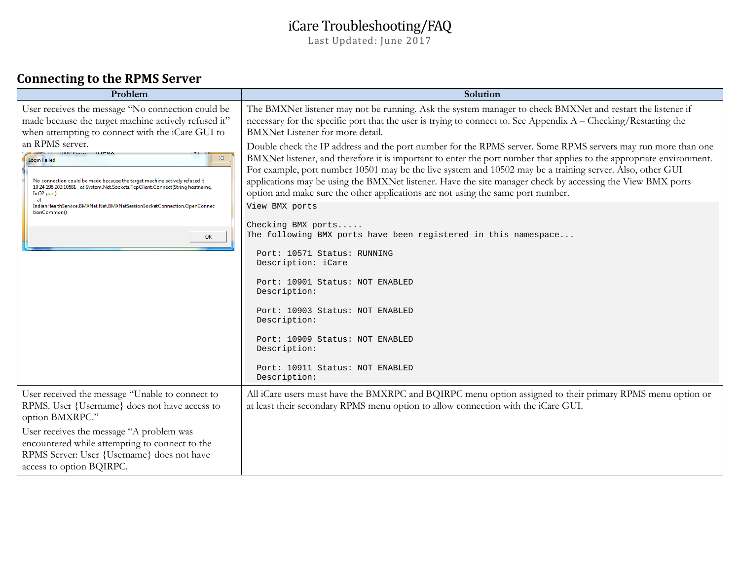# iCare Troubleshooting/FAQ

Last Updated: June 2017

## **Connecting to the RPMS Server**

| Problem                                                                                                                                                                                                                                                                                     | Solution                                                                                                                                                                                                                                                                                                                                                                                                                                                                                                                                           |  |  |
|---------------------------------------------------------------------------------------------------------------------------------------------------------------------------------------------------------------------------------------------------------------------------------------------|----------------------------------------------------------------------------------------------------------------------------------------------------------------------------------------------------------------------------------------------------------------------------------------------------------------------------------------------------------------------------------------------------------------------------------------------------------------------------------------------------------------------------------------------------|--|--|
| User receives the message "No connection could be<br>made because the target machine actively refused it"<br>when attempting to connect with the iCare GUI to                                                                                                                               | The BMXNet listener may not be running. Ask the system manager to check BMXNet and restart the listener if<br>necessary for the specific port that the user is trying to connect to. See Appendix A – Checking/Restarting the<br>BMXNet Listener for more detail.                                                                                                                                                                                                                                                                                  |  |  |
| an RPMS server.<br>$\Sigma$<br><b>Login Failed</b><br>No connection could be made because the target machine actively refused it<br>10.24.198.203:10581 at System.Net.Sockets.TcpClient.Connect(String hostname,<br>Int32 port)<br>at                                                       | Double check the IP address and the port number for the RPMS server. Some RPMS servers may run more than one<br>BMXNet listener, and therefore it is important to enter the port number that applies to the appropriate environment.<br>For example, port number 10501 may be the live system and 10502 may be a training server. Also, other GUI<br>applications may be using the BMXNet listener. Have the site manager check by accessing the View BMX ports<br>option and make sure the other applications are not using the same port number. |  |  |
| IndianHealthService.BMXNet.Net.BMXNetSessionSocketConnection.OpenConnec<br>tionCommon()<br>OK                                                                                                                                                                                               | View BMX ports<br>Checking BMX ports<br>The following BMX ports have been registered in this namespace<br>Port: 10571 Status: RUNNING<br>Description: iCare<br>Port: 10901 Status: NOT ENABLED<br>Description:<br>Port: 10903 Status: NOT ENABLED<br>Description:<br>Port: 10909 Status: NOT ENABLED<br>Description:<br>Port: 10911 Status: NOT ENABLED<br>Description:                                                                                                                                                                            |  |  |
| User received the message "Unable to connect to<br>RPMS. User {Username} does not have access to<br>option BMXRPC."<br>User receives the message "A problem was<br>encountered while attempting to connect to the<br>RPMS Server: User {Username} does not have<br>access to option BQIRPC. | All iCare users must have the BMXRPC and BQIRPC menu option assigned to their primary RPMS menu option or<br>at least their secondary RPMS menu option to allow connection with the iCare GUI.                                                                                                                                                                                                                                                                                                                                                     |  |  |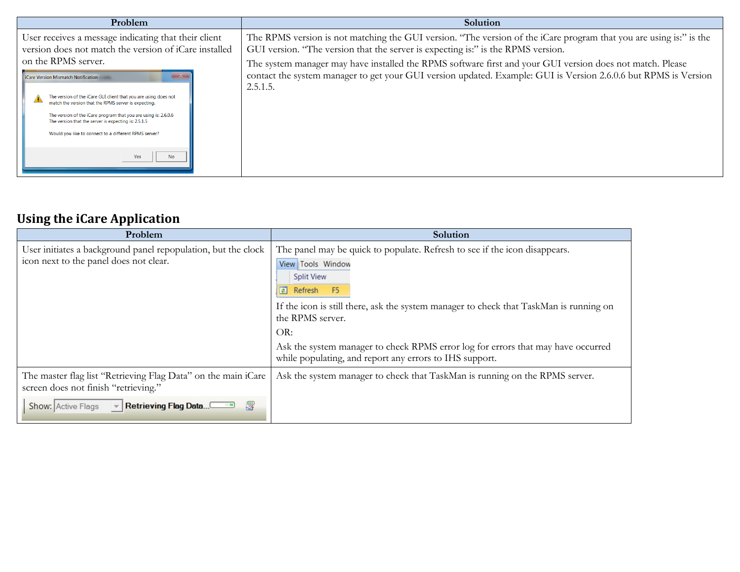| Problem                                                                                                                                                                                                                                                                                                                                                                                                              | Solution                                                                                                                                                                                                                                 |
|----------------------------------------------------------------------------------------------------------------------------------------------------------------------------------------------------------------------------------------------------------------------------------------------------------------------------------------------------------------------------------------------------------------------|------------------------------------------------------------------------------------------------------------------------------------------------------------------------------------------------------------------------------------------|
| User receives a message indicating that their client<br>version does not match the version of iCare installed                                                                                                                                                                                                                                                                                                        | The RPMS version is not matching the GUI version. "The version of the iCare program that you are using is:" is the<br>GUI version. "The version that the server is expecting is:" is the RPMS version.                                   |
| on the RPMS server.<br><b>iCare Version Mismatch Notification</b><br>$\mathbf{x}$<br>The version of the iCare GUI client that you are using does not<br>match the version that the RPMS server is expecting.<br>The version of the iCare program that you are using is: 2.6.0.6<br>The version that the server is expecting is: 2.5.1.5<br>Would you like to connect to a different RPMS server?<br>Yes<br><b>No</b> | The system manager may have installed the RPMS software first and your GUI version does not match. Please<br>contact the system manager to get your GUI version updated. Example: GUI is Version 2.6.0.6 but RPMS is Version<br>2.5.1.5. |

# **Using the iCare Application**

| Problem                                                                                                 | Solution                                                                                                                                                                                                                                                                                                                                                             |
|---------------------------------------------------------------------------------------------------------|----------------------------------------------------------------------------------------------------------------------------------------------------------------------------------------------------------------------------------------------------------------------------------------------------------------------------------------------------------------------|
| User initiates a background panel repopulation, but the clock<br>icon next to the panel does not clear. | The panel may be quick to populate. Refresh to see if the icon disappears.<br>View Tools Window<br><b>Split View</b><br>$\boxed{2}$<br><b>F5</b><br>Refresh<br>If the icon is still there, ask the system manager to check that TaskMan is running on<br>the RPMS server.<br>OR:<br>Ask the system manager to check RPMS error log for errors that may have occurred |
|                                                                                                         | while populating, and report any errors to IHS support.                                                                                                                                                                                                                                                                                                              |
| The master flag list "Retrieving Flag Data" on the main iCare<br>screen does not finish "retrieving."   | Ask the system manager to check that TaskMan is running on the RPMS server.                                                                                                                                                                                                                                                                                          |
| 罗<br>Retrieving Flag Data<br>Show: Active Flags                                                         |                                                                                                                                                                                                                                                                                                                                                                      |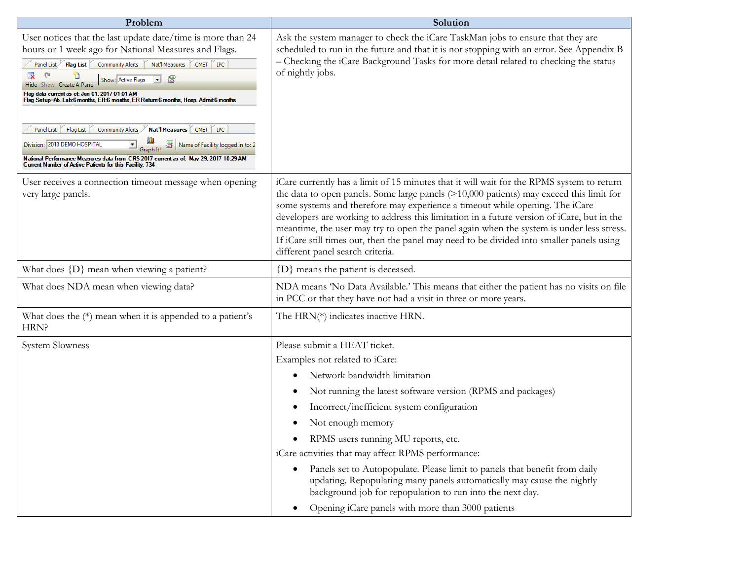| Problem                                                                                                                                                                                                                                                                                                                                                                                                                                                                                                                                                                                                                                                                                                                                                         | Solution                                                                                                                                                                                                                                                                                                                                                                                                                                                                                                                                                                                          |  |  |  |  |
|-----------------------------------------------------------------------------------------------------------------------------------------------------------------------------------------------------------------------------------------------------------------------------------------------------------------------------------------------------------------------------------------------------------------------------------------------------------------------------------------------------------------------------------------------------------------------------------------------------------------------------------------------------------------------------------------------------------------------------------------------------------------|---------------------------------------------------------------------------------------------------------------------------------------------------------------------------------------------------------------------------------------------------------------------------------------------------------------------------------------------------------------------------------------------------------------------------------------------------------------------------------------------------------------------------------------------------------------------------------------------------|--|--|--|--|
| User notices that the last update date/time is more than 24<br>hours or 1 week ago for National Measures and Flags.<br>Panel List Flag List Community Alerts<br>$CMET$ $\vert$ $IPC$<br>Nat'l Measures<br>$\overline{\mathbf{x}}$<br>n<br>$\overline{\phantom{a}}$ 8<br>Show: Active Flags<br>Hide Show Create A Panel<br>Flag data current as of: Jun 01, 2017 01:01 AM<br>Flag Setup=Ab. Lab:6 months, ER:6 months, ER Return:6 months, Hosp. Admit:6 months<br>Nat'lMeasures CMET   IPC<br>Panel List Flag List<br>Community Alerts<br>Name of Facility logged in to: 2<br>Division: 2013 DEMO HOSPITAL<br>National Performance Measures data from CRS 2017 current as of: May 29, 2017 10:29 AM<br>Current Number of Active Patients for this Facility. 734 | Ask the system manager to check the iCare TaskMan jobs to ensure that they are<br>scheduled to run in the future and that it is not stopping with an error. See Appendix B<br>- Checking the iCare Background Tasks for more detail related to checking the status<br>of nightly jobs.                                                                                                                                                                                                                                                                                                            |  |  |  |  |
| User receives a connection timeout message when opening<br>very large panels.                                                                                                                                                                                                                                                                                                                                                                                                                                                                                                                                                                                                                                                                                   | iCare currently has a limit of 15 minutes that it will wait for the RPMS system to return<br>the data to open panels. Some large panels $(>10,000$ patients) may exceed this limit for<br>some systems and therefore may experience a timeout while opening. The iCare<br>developers are working to address this limitation in a future version of iCare, but in the<br>meantime, the user may try to open the panel again when the system is under less stress.<br>If iCare still times out, then the panel may need to be divided into smaller panels using<br>different panel search criteria. |  |  |  |  |
| What does $\{D\}$ mean when viewing a patient?                                                                                                                                                                                                                                                                                                                                                                                                                                                                                                                                                                                                                                                                                                                  | {D} means the patient is deceased.                                                                                                                                                                                                                                                                                                                                                                                                                                                                                                                                                                |  |  |  |  |
| What does NDA mean when viewing data?                                                                                                                                                                                                                                                                                                                                                                                                                                                                                                                                                                                                                                                                                                                           | NDA means 'No Data Available.' This means that either the patient has no visits on file<br>in PCC or that they have not had a visit in three or more years.                                                                                                                                                                                                                                                                                                                                                                                                                                       |  |  |  |  |
| What does the $(*)$ mean when it is appended to a patient's<br>HRN?                                                                                                                                                                                                                                                                                                                                                                                                                                                                                                                                                                                                                                                                                             | The HRN(*) indicates inactive HRN.                                                                                                                                                                                                                                                                                                                                                                                                                                                                                                                                                                |  |  |  |  |
| <b>System Slowness</b>                                                                                                                                                                                                                                                                                                                                                                                                                                                                                                                                                                                                                                                                                                                                          | Please submit a HEAT ticket.<br>Examples not related to iCare:<br>Network bandwidth limitation<br>Not running the latest software version (RPMS and packages)<br>Incorrect/inefficient system configuration<br>Not enough memory<br>RPMS users running MU reports, etc.<br>iCare activities that may affect RPMS performance:<br>Panels set to Autopopulate. Please limit to panels that benefit from daily<br>updating. Repopulating many panels automatically may cause the nightly<br>background job for repopulation to run into the next day.                                                |  |  |  |  |
|                                                                                                                                                                                                                                                                                                                                                                                                                                                                                                                                                                                                                                                                                                                                                                 | Opening iCare panels with more than 3000 patients                                                                                                                                                                                                                                                                                                                                                                                                                                                                                                                                                 |  |  |  |  |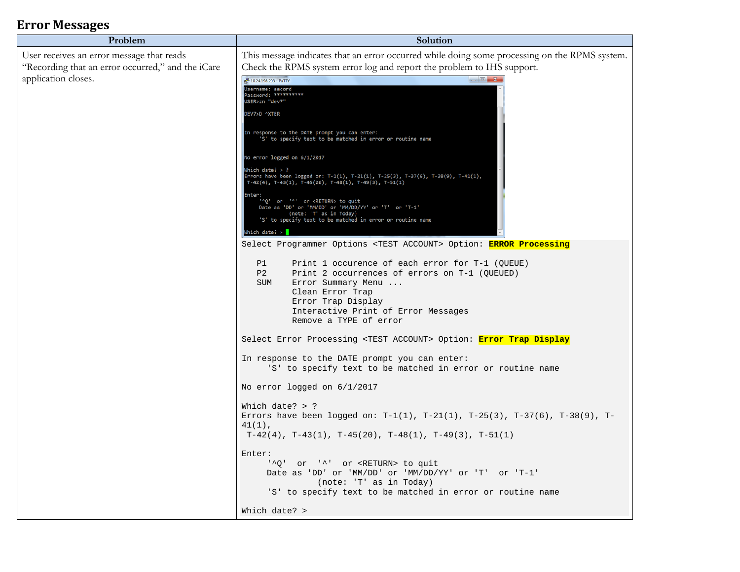## **Error Messages**

| Problem                                                                                        | Solution                                                                                                                                                                                                                                                                                                                                                                                                                                                                                                                                                                                                                                                                                                                                                                                                                                                                                                                                                                                                                  |  |  |
|------------------------------------------------------------------------------------------------|---------------------------------------------------------------------------------------------------------------------------------------------------------------------------------------------------------------------------------------------------------------------------------------------------------------------------------------------------------------------------------------------------------------------------------------------------------------------------------------------------------------------------------------------------------------------------------------------------------------------------------------------------------------------------------------------------------------------------------------------------------------------------------------------------------------------------------------------------------------------------------------------------------------------------------------------------------------------------------------------------------------------------|--|--|
| User receives an error message that reads<br>"Recording that an error occurred," and the iCare | This message indicates that an error occurred while doing some processing on the RPMS system.<br>Check the RPMS system error log and report the problem to IHS support.                                                                                                                                                                                                                                                                                                                                                                                                                                                                                                                                                                                                                                                                                                                                                                                                                                                   |  |  |
| application closes.                                                                            | $\begin{array}{c c c c c} \hline \multicolumn{3}{c }{\textbf{}} & \multicolumn{3}{c }{\textbf{X}} \\\hline \multicolumn{3}{c }{\textbf{}} & \multicolumn{3}{c }{\textbf{}} & \multicolumn{3}{c }{\textbf{X}} \\\hline \multicolumn{3}{c }{\textbf{}} & \multicolumn{3}{c }{\textbf{}} & \multicolumn{3}{c }{\textbf{X}} \\\hline \multicolumn{3}{c }{\textbf{}} & \multicolumn{3}{c }{\textbf{}} & \multicolumn{3}{c }{\textbf{X}} \\\hline \multicolumn{3}{c }{$<br>10.24.198.203 - PuTTY<br>Username: aacord<br>Password: **********<br>USER>zn "dev7"<br>DEV7>D ^XTER<br>In response to the DATE prompt you can enter:<br>'S' to specify text to be matched in error or routine name<br>No error logged on 6/1/2017<br>Which date? $>$ ?<br>Errors have been logged on: T-1(1), T-21(1), T-25(3), T-37(6), T-38(9), T-41(1),<br>$T-42(4)$ , $T-43(1)$ , $T-45(20)$ , $T-48(1)$ , $T-49(3)$ , $T-51(1)$<br>Enter:<br>'^Q' or '^' or <return> to quit<br/>Date as 'DD' or 'MM/DD' or 'MM/DD/YY' or 'T' or 'T-1'</return> |  |  |
|                                                                                                | (note: 'T' as in Today)<br>'S' to specify text to be matched in error or routine name<br>Which date? $>$                                                                                                                                                                                                                                                                                                                                                                                                                                                                                                                                                                                                                                                                                                                                                                                                                                                                                                                  |  |  |
|                                                                                                | Select Programmer Options <test account=""> Option: ERROR Processing<br/>P1<br/>Print 1 occurence of each error for T-1 (OUEUE)<br/>P<sub>2</sub><br/>Print 2 occurrences of errors on T-1 (QUEUED)<br/>SUM<br/>Error Summary Menu <br/>Clean Error Trap<br/>Error Trap Display<br/>Interactive Print of Error Messages<br/>Remove a TYPE of error</test>                                                                                                                                                                                                                                                                                                                                                                                                                                                                                                                                                                                                                                                                 |  |  |
|                                                                                                | Select Error Processing <test account=""> Option: Error Trap Display<br/>In response to the DATE prompt you can enter:</test>                                                                                                                                                                                                                                                                                                                                                                                                                                                                                                                                                                                                                                                                                                                                                                                                                                                                                             |  |  |
|                                                                                                | 'S' to specify text to be matched in error or routine name<br>No error logged on 6/1/2017                                                                                                                                                                                                                                                                                                                                                                                                                                                                                                                                                                                                                                                                                                                                                                                                                                                                                                                                 |  |  |
|                                                                                                | Which date? $>$ ?<br>Errors have been logged on: T-1(1), T-21(1), T-25(3), T-37(6), T-38(9), T-<br>$41(1)$ ,<br>$T-42(4)$ , $T-43(1)$ , $T-45(20)$ , $T-48(1)$ , $T-49(3)$ , $T-51(1)$                                                                                                                                                                                                                                                                                                                                                                                                                                                                                                                                                                                                                                                                                                                                                                                                                                    |  |  |
|                                                                                                | Enter:<br>'^Q' or '^' or <return> to quit<br/>Date as 'DD' or 'MM/DD' or 'MM/DD/YY' or 'T' or 'T-1'<br/>(note: 'T' as in Today)<br/>'S' to specify text to be matched in error or routine name</return>                                                                                                                                                                                                                                                                                                                                                                                                                                                                                                                                                                                                                                                                                                                                                                                                                   |  |  |
|                                                                                                | Which date? >                                                                                                                                                                                                                                                                                                                                                                                                                                                                                                                                                                                                                                                                                                                                                                                                                                                                                                                                                                                                             |  |  |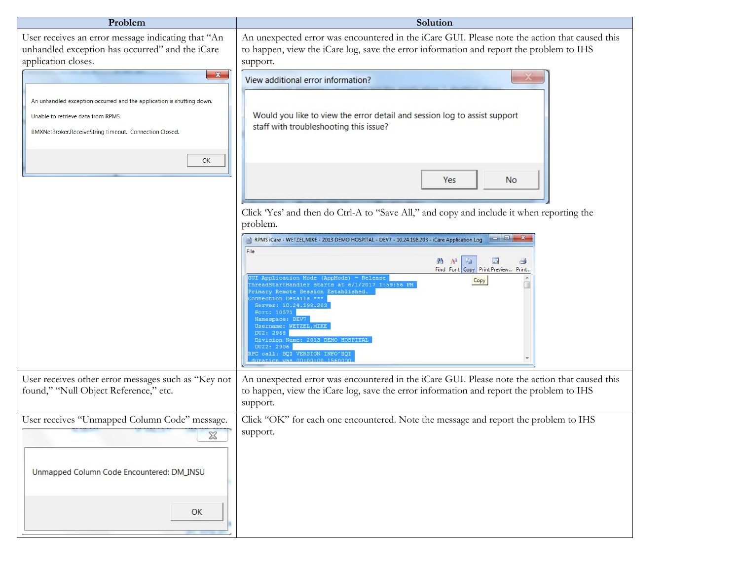| Problem                                                                                                                                                               | Solution                                                                                                                                                                                                                                                                                                                                                                                                                                                                                                                                                           |  |  |  |
|-----------------------------------------------------------------------------------------------------------------------------------------------------------------------|--------------------------------------------------------------------------------------------------------------------------------------------------------------------------------------------------------------------------------------------------------------------------------------------------------------------------------------------------------------------------------------------------------------------------------------------------------------------------------------------------------------------------------------------------------------------|--|--|--|
| User receives an error message indicating that "An<br>unhandled exception has occurred" and the iCare<br>application closes.                                          | An unexpected error was encountered in the iCare GUI. Please note the action that caused this<br>to happen, view the iCare log, save the error information and report the problem to IHS<br>support.                                                                                                                                                                                                                                                                                                                                                               |  |  |  |
| $\mathbf{x}$                                                                                                                                                          | View additional error information?                                                                                                                                                                                                                                                                                                                                                                                                                                                                                                                                 |  |  |  |
| An unhandled exception occurred and the application is shutting down.<br>Unable to retrieve data from RPMS.<br>BMXNetBroker.ReceiveString timeout. Connection Closed. | Would you like to view the error detail and session log to assist support<br>staff with troubleshooting this issue?                                                                                                                                                                                                                                                                                                                                                                                                                                                |  |  |  |
| OK                                                                                                                                                                    | Yes<br><b>No</b>                                                                                                                                                                                                                                                                                                                                                                                                                                                                                                                                                   |  |  |  |
|                                                                                                                                                                       | Click 'Yes' and then do Ctrl-A to "Save All," and copy and include it when reporting the<br>problem.                                                                                                                                                                                                                                                                                                                                                                                                                                                               |  |  |  |
|                                                                                                                                                                       | RPMS iCare - WETZEL, MIKE - 2013 DEMO HOSPITAL - DEV7 - 10.24.198.203 - iCare Application Log<br>File<br>$AA$ $A^a$<br>La<br>B<br>Find Font Copy Print Preview<br>Print.<br>SUI Application Mode (AppMode) = Release<br>Copy<br>hreadStartHandler starts at 6/1/2017 1:59:56 PM<br>rimary Remote Session Established.<br>onnection Details ***<br>Server: 10.24.198.203<br>Port: 10571<br>Namespace: DEV7<br>Username: WETZEL, MIKE<br>DUZ: 2968<br>Division Name: 2013 DEMO HOSPITAL<br>DUZ2: 2906<br>PC call: BQI VERSION INFO^BQI<br>ration was 00:00:00.156000 |  |  |  |
| User receives other error messages such as "Key not<br>found," "Null Object Reference," etc.                                                                          | An unexpected error was encountered in the iCare GUI. Please note the action that caused this<br>to happen, view the iCare log, save the error information and report the problem to IHS<br>support.                                                                                                                                                                                                                                                                                                                                                               |  |  |  |
| User receives "Unmapped Column Code" message.<br>$\chi$<br>Unmapped Column Code Encountered: DM_INSU                                                                  | Click "OK" for each one encountered. Note the message and report the problem to IHS<br>support.                                                                                                                                                                                                                                                                                                                                                                                                                                                                    |  |  |  |
| OK                                                                                                                                                                    |                                                                                                                                                                                                                                                                                                                                                                                                                                                                                                                                                                    |  |  |  |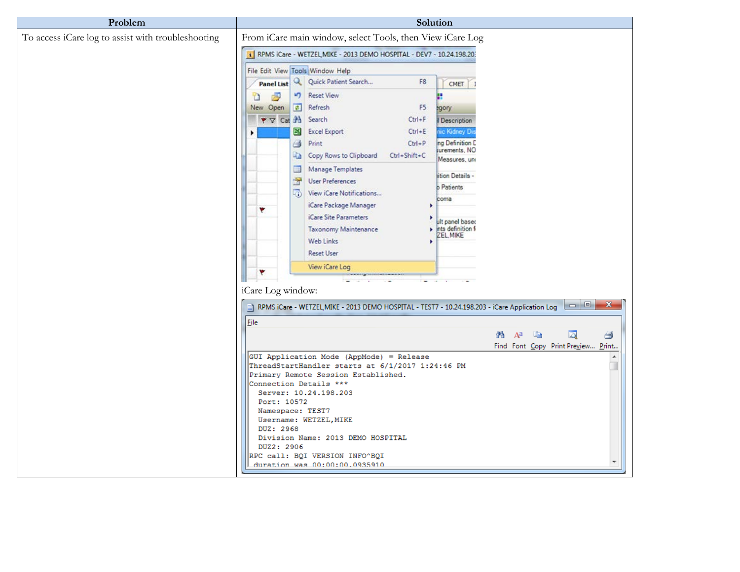| Problem                                            | Solution                                                                                                                           |  |  |  |  |
|----------------------------------------------------|------------------------------------------------------------------------------------------------------------------------------------|--|--|--|--|
| To access iCare log to assist with troubleshooting | From iCare main window, select Tools, then View iCare Log<br>RPMS iCare - WETZEL, MIKE - 2013 DEMO HOSPITAL - DEV7 - 10.24.198.20: |  |  |  |  |
|                                                    | File Edit View Tools Window Help                                                                                                   |  |  |  |  |
|                                                    | Q   Quick Patient Search<br>F8<br><b>Panel List</b><br>CMET                                                                        |  |  |  |  |
|                                                    | <b>Reset View</b><br>d.<br>k)<br>n                                                                                                 |  |  |  |  |
|                                                    | F5<br>New Open<br>Refresh<br>egory<br>量                                                                                            |  |  |  |  |
|                                                    | $\blacktriangledown$ Cat $A$<br>Search<br>$Ctrl + F$<br>Description                                                                |  |  |  |  |
|                                                    | ⊠<br><b>Excel Export</b><br>$Ctrl + E$<br>ic Kidney Di<br>ng Definition D<br>$Ctrl + P$<br>Ġ<br>Print                              |  |  |  |  |
|                                                    | surements, NO<br>Copy Rows to Clipboard Ctrl+Shift+C<br>Li a                                                                       |  |  |  |  |
|                                                    | Measures, un<br>Manage Templates<br>E                                                                                              |  |  |  |  |
|                                                    | lition Details -<br>学<br><b>User Preferences</b><br><b>b</b> Patients                                                              |  |  |  |  |
|                                                    | View iCare Notifications<br>coma                                                                                                   |  |  |  |  |
|                                                    | iCare Package Manager<br>۴                                                                                                         |  |  |  |  |
|                                                    | <i>iCare Site Parameters</i><br>ult panel baser<br>ints definition fi<br><b>Taxonomy Maintenance</b>                               |  |  |  |  |
|                                                    | ZEL MIKE<br>Web Links                                                                                                              |  |  |  |  |
|                                                    | <b>Reset User</b>                                                                                                                  |  |  |  |  |
|                                                    | View iCare Log                                                                                                                     |  |  |  |  |
|                                                    |                                                                                                                                    |  |  |  |  |
|                                                    | iCare Log window:                                                                                                                  |  |  |  |  |
|                                                    | $\Box$<br>$-\mathbf{x}$<br>RPMS iCare - WETZEL, MIKE - 2013 DEMO HOSPITAL - TEST7 - 10.24.198.203 - iCare Application Log          |  |  |  |  |
|                                                    | Eile                                                                                                                               |  |  |  |  |
|                                                    | 昌<br>æ<br>$A^a$<br>Le de la pr<br>$\Box$<br>Find Font Copy Print Preview Print                                                     |  |  |  |  |
|                                                    | GUI Application Mode (AppMode) = Release<br>۸                                                                                      |  |  |  |  |
|                                                    | ThreadStartHandler starts at 6/1/2017 1:24:46 PM<br>Primary Remote Session Established.                                            |  |  |  |  |
|                                                    | Connection Details ***                                                                                                             |  |  |  |  |
|                                                    | Server: 10.24.198.203<br>Port: 10572                                                                                               |  |  |  |  |
|                                                    | Namespace: TEST7                                                                                                                   |  |  |  |  |
|                                                    | Username: WETZEL, MIKE<br>DUZ: 2968                                                                                                |  |  |  |  |
|                                                    | Division Name: 2013 DEMO HOSPITAL<br>DUZ2: 2906                                                                                    |  |  |  |  |
|                                                    | RPC call: BQI VERSION INFO^BQI                                                                                                     |  |  |  |  |
|                                                    | duration was 00:00:00.0935910                                                                                                      |  |  |  |  |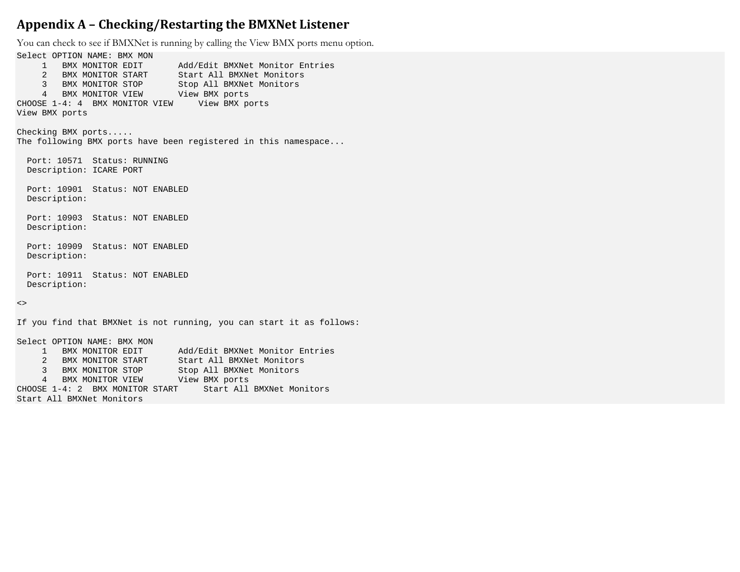#### <span id="page-6-0"></span>**Appendix A – Checking/Restarting the BMXNet Listener**

You can check to see if BMXNet is running by calling the View BMX ports menu option.

Select OPTION NAME: BMX MON<br>1 BMX MONITOR EDIT Add/Edit BMXNet Monitor Entries 2 BMX MONITOR START Start All BMXNet Monitors 3 BMX MONITOR STOP Stop All BMXNet Monitors 4 BMX MONITOR VIEW View BMX ports CHOOSE 1-4: 4 BMX MONITOR VIEW View BMX ports View BMX ports Checking BMX ports..... The following BMX ports have been registered in this namespace... Port: 10571 Status: RUNNING Description: ICARE PORT Port: 10901 Status: NOT ENABLED Description: Port: 10903 Status: NOT ENABLED Description: Port: 10909 Status: NOT ENABLED Description: Port: 10911 Status: NOT ENABLED Description:  $\lt$ If you find that BMXNet is not running, you can start it as follows: Select OPTION NAME: BMX MON<br>1 BMX MONITOR EDIT Add/Edit BMXNet Monitor Entries 2 BMX MONITOR START Start All BMXNet Monitors 3 BMX MONITOR STOP Stop All BMXNet Monitors 4 BMX MONITOR VIEW View BMX ports<br>E 1-4: 2 BMX MONITOR START Start All BMXNet Monitors CHOOSE  $1-4:2$  BMX MONITOR START

Start All BMXNet Monitors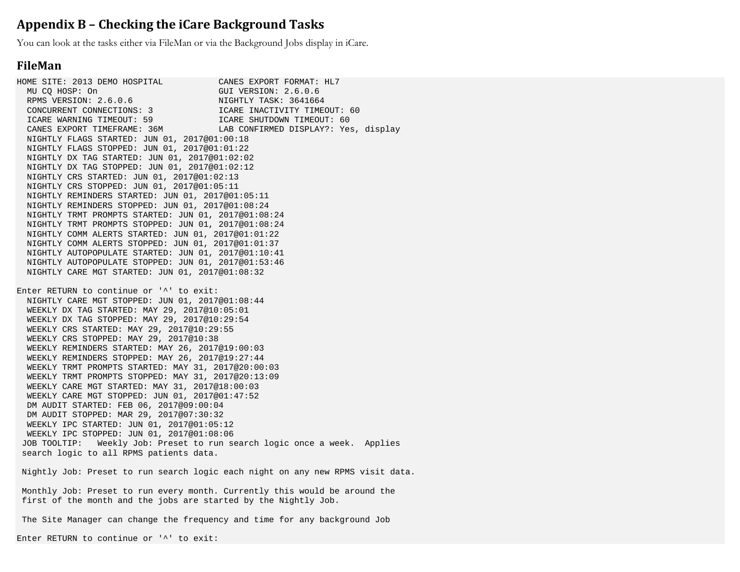#### <span id="page-7-0"></span>**Appendix B – Checking the iCare Background Tasks**

You can look at the tasks either via FileMan or via the Background Jobs display in iCare.

#### **FileMan**

HOME SITE: 2013 DEMO HOSPITAL CANES EXPORT FORMAT: HL7<br>MU CQ HOSP: On GUI VERSION: 2.6.0.6 GUI VERSION: 2.6.0.6 RPMS VERSION: 2.6.0.6 NIGHTLY TASK: 3641664 ICARE INACTIVITY TIMEOUT: 60<br>ICARE SHUTDOWN TIMEOUT: 60 ICARE WARNING TIMEOUT: 59<br>CANES EXPORT TIMEFRAME: 36M LAB CONFIRMED DISPLAY?: Yes, display NIGHTLY FLAGS STARTED: JUN 01, 2017@01:00:18 NIGHTLY FLAGS STOPPED: JUN 01, 2017@01:01:22 NIGHTLY DX TAG STARTED: JUN 01, 2017@01:02:02 NIGHTLY DX TAG STOPPED: JUN 01, 2017@01:02:12 NIGHTLY CRS STARTED: JUN 01, 2017@01:02:13 NIGHTLY CRS STOPPED: JUN 01, 2017@01:05:11 NIGHTLY REMINDERS STARTED: JUN 01, 2017@01:05:11 NIGHTLY REMINDERS STOPPED: JUN 01, 2017@01:08:24 NIGHTLY TRMT PROMPTS STARTED: JUN 01, 2017@01:08:24 NIGHTLY TRMT PROMPTS STOPPED: JUN 01, 2017@01:08:24 NIGHTLY COMM ALERTS STARTED: JUN 01, 2017@01:01:22 NIGHTLY COMM ALERTS STOPPED: JUN 01, 2017@01:01:37 NIGHTLY AUTOPOPULATE STARTED: JUN 01, 2017@01:10:41 NIGHTLY AUTOPOPULATE STOPPED: JUN 01, 2017@01:53:46 NIGHTLY CARE MGT STARTED: JUN 01, 2017@01:08:32 Enter RETURN to continue or '^' to exit: NIGHTLY CARE MGT STOPPED: JUN 01, 2017@01:08:44 WEEKLY DX TAG STARTED: MAY 29, 2017@10:05:01 WEEKLY DX TAG STOPPED: MAY 29, 2017@10:29:54 WEEKLY CRS STARTED: MAY 29, 2017@10:29:55 WEEKLY CRS STOPPED: MAY 29, 2017@10:38 WEEKLY REMINDERS STARTED: MAY 26, 2017@19:00:03 WEEKLY REMINDERS STOPPED: MAY 26, 2017@19:27:44 WEEKLY TRMT PROMPTS STARTED: MAY 31, 2017@20:00:03 WEEKLY TRMT PROMPTS STOPPED: MAY 31, 2017@20:13:09 WEEKLY CARE MGT STARTED: MAY 31, 2017@18:00:03 WEEKLY CARE MGT STOPPED: JUN 01, 2017@01:47:52 DM AUDIT STARTED: FEB 06, 2017@09:00:04 DM AUDIT STOPPED: MAR 29, 2017@07:30:32 WEEKLY IPC STARTED: JUN 01, 2017@01:05:12 WEEKLY IPC STOPPED: JUN 01, 2017@01:08:06 JOB TOOLTIP: Weekly Job: Preset to run search logic once a week. Applies search logic to all RPMS patients data.

Nightly Job: Preset to run search logic each night on any new RPMS visit data.

Monthly Job: Preset to run every month. Currently this would be around the first of the month and the jobs are started by the Nightly Job.

The Site Manager can change the frequency and time for any background Job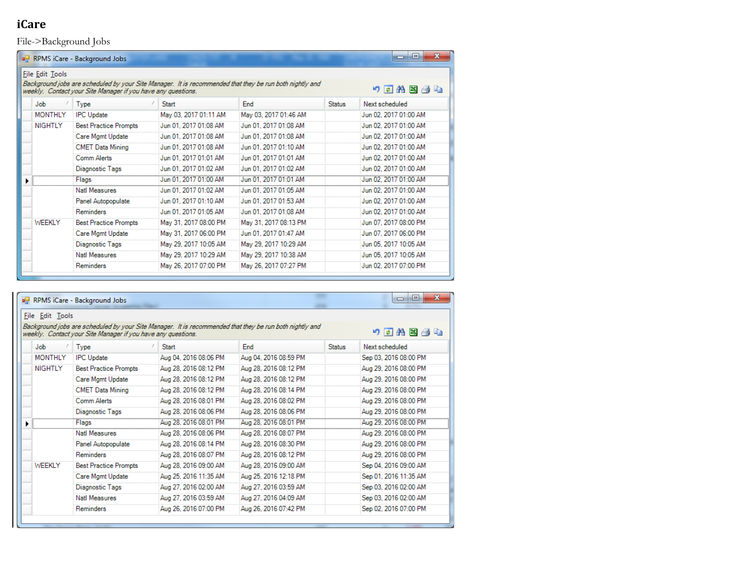## **iCare**

File->Background Jobs

|                                                                                                                                                                                                      | <b>n</b> RPMS iCare - Background Jobs |                       |                       |               | $\mathbf{x}$<br>o     |  |
|------------------------------------------------------------------------------------------------------------------------------------------------------------------------------------------------------|---------------------------------------|-----------------------|-----------------------|---------------|-----------------------|--|
| File Edit Tools<br>Background jobs are scheduled by your Site Manager. It is recommended that they be run both nightly and<br>りすお図タも<br>weekly. Contact your Site Manager if you have any questions. |                                       |                       |                       |               |                       |  |
| <b>Job</b>                                                                                                                                                                                           | <b>Type</b>                           | <b>Start</b>          | End                   | <b>Status</b> | Next scheduled        |  |
| <b>MONTHLY</b>                                                                                                                                                                                       | <b>IPC</b> Update                     | May 03, 2017 01:11 AM | May 03, 2017 01:46 AM |               | Jun 02, 2017 01:00 AM |  |
| <b>NIGHTLY</b>                                                                                                                                                                                       | <b>Best Practice Prompts</b>          | Jun 01, 2017 01:08 AM | Jun 01, 2017 01:08 AM |               | Jun 02, 2017 01:00 AM |  |
|                                                                                                                                                                                                      | Care Mgmt Update                      | Jun 01, 2017 01:08 AM | Jun 01, 2017 01:08 AM |               | Jun 02, 2017 01:00 AM |  |
|                                                                                                                                                                                                      | <b>CMET Data Mining</b>               | Jun 01, 2017 01:08 AM | Jun 01, 2017 01:10 AM |               | Jun 02, 2017 01:00 AM |  |
|                                                                                                                                                                                                      | <b>Comm Alerts</b>                    | Jun 01, 2017 01:01 AM | Jun 01, 2017 01:01 AM |               | Jun 02, 2017 01:00 AM |  |
|                                                                                                                                                                                                      | Diagnostic Tags                       | Jun 01, 2017 01:02 AM | Jun 01, 2017 01:02 AM |               | Jun 02. 2017 01:00 AM |  |
|                                                                                                                                                                                                      | Flags                                 | Jun 01, 2017 01:00 AM | Jun 01, 2017 01:01 AM |               | Jun 02, 2017 01:00 AM |  |
|                                                                                                                                                                                                      | <b>Natl Measures</b>                  | Jun 01, 2017 01:02 AM | Jun 01, 2017 01:05 AM |               | Jun 02, 2017 01:00 AM |  |
|                                                                                                                                                                                                      | Panel Autopopulate                    | Jun 01, 2017 01:10 AM | Jun 01, 2017 01:53 AM |               | Jun 02, 2017 01:00 AM |  |
|                                                                                                                                                                                                      | Reminders                             | Jun 01, 2017 01:05 AM | Jun 01, 2017 01:08 AM |               | Jun 02, 2017 01:00 AM |  |
| <b>WEEKLY</b>                                                                                                                                                                                        | <b>Best Practice Prompts</b>          | May 31, 2017 08:00 PM | May 31, 2017 08:13 PM |               | Jun 07, 2017 08:00 PM |  |
|                                                                                                                                                                                                      | Care Mgmt Update                      | May 31, 2017 06:00 PM | Jun 01, 2017 01:47 AM |               | Jun 07, 2017 06:00 PM |  |
|                                                                                                                                                                                                      | Diagnostic Tags                       | May 29, 2017 10:05 AM | May 29, 2017 10:29 AM |               | Jun 05, 2017 10:05 AM |  |
|                                                                                                                                                                                                      | <b>Natl Measures</b>                  | May 29, 2017 10:29 AM | May 29, 2017 10:38 AM |               | Jun 05, 2017 10:05 AM |  |
|                                                                                                                                                                                                      | Reminders                             | May 26, 2017 07:00 PM | May 26, 2017 07:27 PM |               | Jun 02, 2017 07:00 PM |  |

|                 | $\mathbf{x}$<br>$\Box$<br>$\Box$<br>RPMS iCare - Background Jobs                                                                                                                  |                              |                       |                       |               |                       |  |
|-----------------|-----------------------------------------------------------------------------------------------------------------------------------------------------------------------------------|------------------------------|-----------------------|-----------------------|---------------|-----------------------|--|
| File Edit Tools |                                                                                                                                                                                   |                              |                       |                       |               |                       |  |
|                 | Background jobs are scheduled by your Site Manager. It is recommended that they be run both nightly and<br>ウ西角区手轴<br>weekly. Contact your Site Manager if you have any questions. |                              |                       |                       |               |                       |  |
|                 | <b>Job</b>                                                                                                                                                                        | Type                         | Start                 | <b>End</b>            | <b>Status</b> | Next scheduled        |  |
|                 | <b>MONTHLY</b>                                                                                                                                                                    | <b>IPC</b> Update            | Aug 04, 2016 08:06 PM | Aug 04, 2016 08:59 PM |               | Sep 03, 2016 08:00 PM |  |
|                 | <b>NIGHTLY</b>                                                                                                                                                                    | <b>Best Practice Prompts</b> | Aug 28, 2016 08:12 PM | Aug 28, 2016 08:12 PM |               | Aug 29, 2016 08:00 PM |  |
|                 |                                                                                                                                                                                   | Care Mgmt Update             | Aug 28, 2016 08:12 PM | Aug 28, 2016 08:12 PM |               | Aug 29, 2016 08:00 PM |  |
|                 |                                                                                                                                                                                   | <b>CMET Data Mining</b>      | Aug 28, 2016 08:12 PM | Aug 28, 2016 08:14 PM |               | Aug 29, 2016 08:00 PM |  |
|                 |                                                                                                                                                                                   | Comm Alerts                  | Aug 28, 2016 08:01 PM | Aug 28, 2016 08:02 PM |               | Aug 29, 2016 08:00 PM |  |
|                 |                                                                                                                                                                                   | Diagnostic Tags              | Aug 28, 2016 08:06 PM | Aug 28, 2016 08:06 PM |               | Aug 29, 2016 08:00 PM |  |
|                 |                                                                                                                                                                                   | Flags                        | Aug 28, 2016 08:01 PM | Aug 28, 2016 08:01 PM |               | Aug 29, 2016 08:00 PM |  |
|                 |                                                                                                                                                                                   | <b>Natl Measures</b>         | Aug 28, 2016 08:06 PM | Aug 28, 2016 08:07 PM |               | Aug 29, 2016 08:00 PM |  |
|                 |                                                                                                                                                                                   | Panel Autopopulate           | Aug 28, 2016 08:14 PM | Aug 28, 2016 08:30 PM |               | Aug 29, 2016 08:00 PM |  |
|                 |                                                                                                                                                                                   | <b>Reminders</b>             | Aug 28, 2016 08:07 PM | Aug 28, 2016 08:12 PM |               | Aug 29, 2016 08:00 PM |  |
|                 | WEEKLY                                                                                                                                                                            | <b>Best Practice Prompts</b> | Aug 28, 2016 09:00 AM | Aug 28, 2016 09:00 AM |               | Sep 04, 2016 09:00 AM |  |
|                 |                                                                                                                                                                                   | Care Mgmt Update             | Aug 25, 2016 11:35 AM | Aug 25, 2016 12:18 PM |               | Sep 01, 2016 11:35 AM |  |
|                 |                                                                                                                                                                                   | Diagnostic Tags              | Aug 27, 2016 02:00 AM | Aug 27, 2016 03:59 AM |               | Sep 03, 2016 02:00 AM |  |
|                 |                                                                                                                                                                                   | <b>Natl Measures</b>         | Aug 27, 2016 03:59 AM | Aug 27, 2016 04:09 AM |               | Sep 03, 2016 02:00 AM |  |
|                 |                                                                                                                                                                                   | Reminders                    | Aug 26, 2016 07:00 PM | Aug 26, 2016 07:42 PM |               | Sep 02, 2016 07:00 PM |  |
|                 |                                                                                                                                                                                   |                              |                       |                       |               |                       |  |